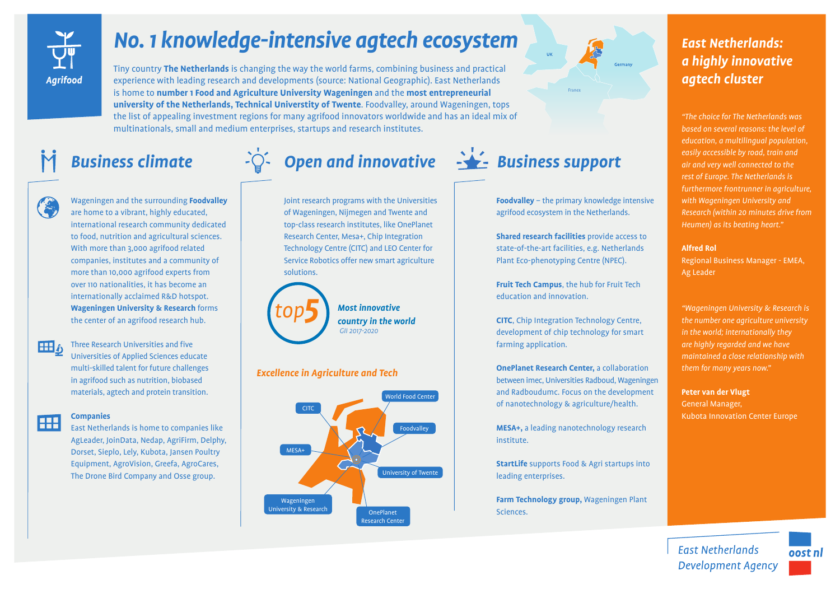

# *No. 1 knowledge-intensive agtech ecosystem*

Tiny country **The Netherlands** is changing the way the world farms, combining business and practical experience with leading research and developments (source: National Geographic). East Netherlands is home to **number 1 Food and Agriculture University Wageningen** and the **most entrepreneurial university of the Netherlands, Technical Universtity of Twente**. Foodvalley, around Wageningen, tops the list of appealing investment regions for many agrifood innovators worldwide and has an ideal mix of multinationals, small and medium enterprises, startups and research institutes.



Wageningen and the surrounding **Foodvalley**  are home to a vibrant, highly educated, international research community dedicated to food, nutrition and agricultural sciences. With more than 3,000 agrifood related companies, institutes and a community of more than 10,000 agrifood experts from over 110 nationalities, it has become an internationally acclaimed R&D hotspot. **Wageningen University & Research** forms the center of an agrifood research hub.

Three Research Universities and five 田。 Universities of Applied Sciences educate multi-skilled talent for future challenges in agrifood such as nutrition, biobased materials, agtech and protein transition.

### **Companies** Œ

East Netherlands is home to companies like AgLeader, JoinData, Nedap, AgriFirm, Delphy, Dorset, Sieplo, Lely, Kubota, Jansen Poultry Equipment, AgroVision, Greefa, AgroCares, The Drone Bird Company and Osse group.

Joint research programs with the Universities of Wageningen, Nijmegen and Twente and top-class research institutes, like OnePlanet Research Center, Mesa+, Chip Integration Technology Centre (CITC) and LEO Center for Service Robotics offer new smart agriculture solutions.



*Most innovative country in the world GII 2017-2020*

# *Excellence in Agriculture and Tech*





**Foodvalley** – the primary knowledge intensive agrifood ecosystem in the Netherlands.

**Shared research facilities** provide access to state-of-the-art facilities, e.g. Netherlands Plant Eco-phenotyping Centre (NPEC).

**Fruit Tech Campus**, the hub for Fruit Tech education and innovation.

**CITC**, Chip Integration Technology Centre, development of chip technology for smart farming application.

**OnePlanet Research Center,** a collaboration between imec, Universities Radboud, Wageningen and Radboudumc. Focus on the development of nanotechnology & agriculture/health.

**MESA+,** a leading nanotechnology research institute.

**StartLife** supports Food & Agri startups into leading enterprises.

**Farm Technology group,** Wageningen Plant Sciences.

# *East Netherlands: a highly innovative agtech cluster*

*"The choice for The Netherlands was based on several reasons: the level of education, a multilingual population, easily accessible by road, train and air and very well connected to the rest of Europe. The Netherlands is furthermore frontrunner in agriculture, with Wageningen University and Research (within 20 minutes drive from Heumen) as its beating heart."*

## **Alfred Rol**

Regional Business Manager - EMEA, Ag Leader

*"Wageningen University & Research is the number one agriculture university in the world; internationally they are highly regarded and we have maintained a close relationship with them for many years now."*

**Peter van der Vlugt** General Manager, Kubota Innovation Center Europe

**East Netherlands Development Agency**